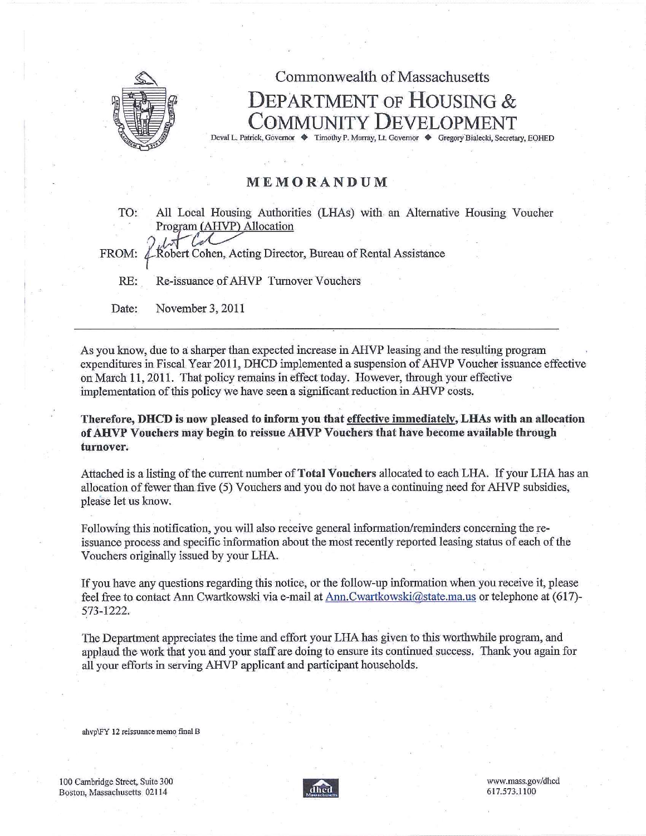

## Commonwealth of Massachusetts DEPARTMENT OF HOUSING & COMMUNITY DEVELOPMENT Deval L, Patrick, Governor ♦ Timothy P. Murray, Lt. Governor ♦ Gregory Bialecki, Secretary, CONED

## MEMORANO UM

TO:. All Local Housing Authorities (LHAs) with an Alternative Housing Voucher Program (AHVP) Allocation

FROM: Robert Cohen, Acting Director, Bureau of Rental Assistance

RE: Re-issuance of AHVP Turnover Vouchers

Date: November 3, 2011

As you know, due to a sharper than expected increase in AHVP leasing and the resulting program expenditures in Fiscal Year 2011, DHCD implemented a suspension of AHVP Voucher issuance effective on March 11, 2011. That policy remains in effect today. However, through your effective implementation of this policy we have seen a significant reduction in AHVP costs.

Therefore, DHCD is now pleased to inform you that effective immediately, LHAs with an allocation of AHVP Vouchers may begin to reissue AHVP Vouchers that have become available through turnover.

Attached is a listing of the current number of Total Vouchers allocated to each LHA. If your LHA has an allocation of fewer than five (5) Vouchers and you do not have a continuing need for AHVP subsidies, please let us know.

Following this notification, you will also receive general information/reminders concerning the reissuance process and specific information about the most recently reported leasing status of each of the Vouchers originally issued by your LHA.

If you have any questions regarding this notice, or the follow-up information when you receive it, please feel free to contact Ann Cwartkowski via e-mail at Ann.Cwartkowski@state.ma.us or telephone at  $(617)$ -573-1222.

The Department appreciates the time and effort your LHA has given to this worthwhile program, and applaud the work that you and your staff are doing to ensure its continued success. Thank you again for all your efforts in serving AHVP applicant and participant households.

ahvp\FY 12 reissuance memo final B